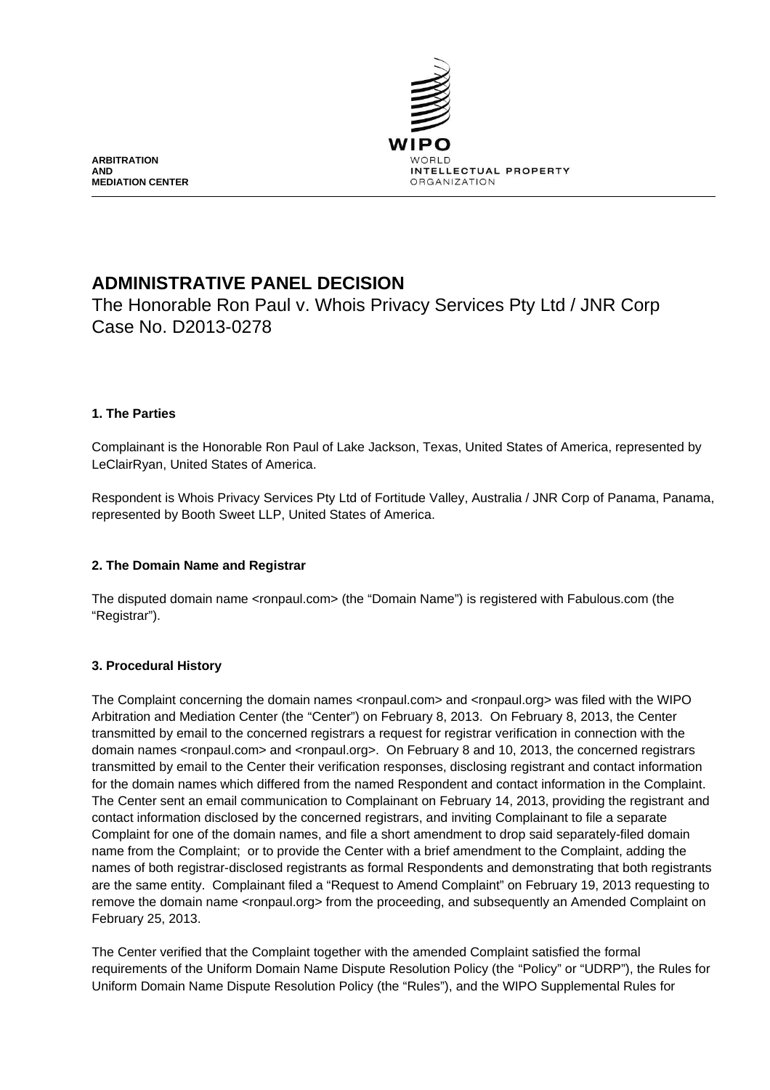

**ARBITRATION AND MEDIATION CENTER**

# **ADMINISTRATIVE PANEL DECISION**

The Honorable Ron Paul v. Whois Privacy Services Pty Ltd / JNR Corp Case No. D2013-0278

# **1. The Parties**

Complainant is the Honorable Ron Paul of Lake Jackson, Texas, United States of America, represented by LeClairRyan, United States of America.

Respondent is Whois Privacy Services Pty Ltd of Fortitude Valley, Australia / JNR Corp of Panama, Panama, represented by Booth Sweet LLP, United States of America.

# **2. The Domain Name and Registrar**

The disputed domain name <ronpaul.com> (the "Domain Name") is registered with Fabulous.com (the "Registrar").

# **3. Procedural History**

The Complaint concerning the domain names <ronpaul.com> and <ronpaul.org> was filed with the WIPO Arbitration and Mediation Center (the "Center") on February 8, 2013. On February 8, 2013, the Center transmitted by email to the concerned registrars a request for registrar verification in connection with the domain names <ronpaul.com> and <ronpaul.org>. On February 8 and 10, 2013, the concerned registrars transmitted by email to the Center their verification responses, disclosing registrant and contact information for the domain names which differed from the named Respondent and contact information in the Complaint. The Center sent an email communication to Complainant on February 14, 2013, providing the registrant and contact information disclosed by the concerned registrars, and inviting Complainant to file a separate Complaint for one of the domain names, and file a short amendment to drop said separately-filed domain name from the Complaint; or to provide the Center with a brief amendment to the Complaint, adding the names of both registrar-disclosed registrants as formal Respondents and demonstrating that both registrants are the same entity. Complainant filed a "Request to Amend Complaint" on February 19, 2013 requesting to remove the domain name <ronpaul.org> from the proceeding, and subsequently an Amended Complaint on February 25, 2013.

The Center verified that the Complaint together with the amended Complaint satisfied the formal requirements of the Uniform Domain Name Dispute Resolution Policy (the "Policy" or "UDRP"), the Rules for Uniform Domain Name Dispute Resolution Policy (the "Rules"), and the WIPO Supplemental Rules for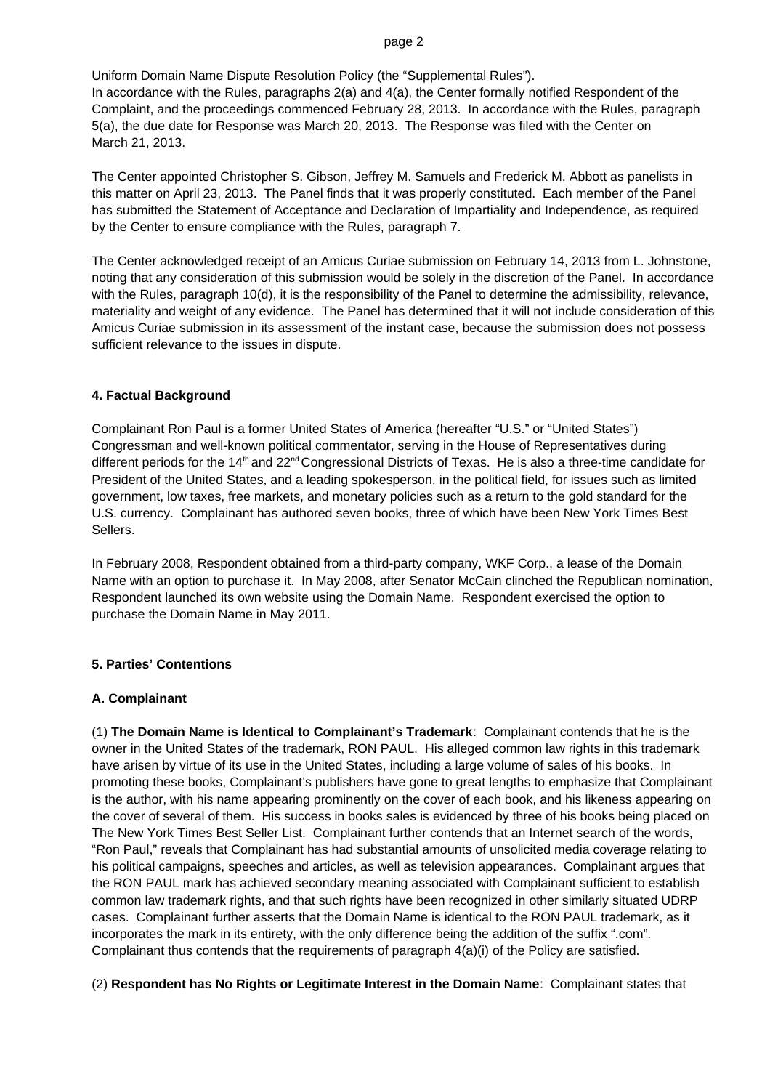#### page 2

Uniform Domain Name Dispute Resolution Policy (the "Supplemental Rules"). In accordance with the Rules, paragraphs 2(a) and 4(a), the Center formally notified Respondent of the Complaint, and the proceedings commenced February 28, 2013. In accordance with the Rules, paragraph 5(a), the due date for Response was March 20, 2013. The Response was filed with the Center on March 21, 2013.

The Center appointed Christopher S. Gibson, Jeffrey M. Samuels and Frederick M. Abbott as panelists in this matter on April 23, 2013. The Panel finds that it was properly constituted. Each member of the Panel has submitted the Statement of Acceptance and Declaration of Impartiality and Independence, as required by the Center to ensure compliance with the Rules, paragraph 7.

The Center acknowledged receipt of an Amicus Curiae submission on February 14, 2013 from L. Johnstone, noting that any consideration of this submission would be solely in the discretion of the Panel. In accordance with the Rules, paragraph 10(d), it is the responsibility of the Panel to determine the admissibility, relevance, materiality and weight of any evidence. The Panel has determined that it will not include consideration of this Amicus Curiae submission in its assessment of the instant case, because the submission does not possess sufficient relevance to the issues in dispute.

# **4. Factual Background**

Complainant Ron Paul is a former United States of America (hereafter "U.S." or "United States") Congressman and well-known political commentator, serving in the House of Representatives during different periods for the 14<sup>th</sup> and 22<sup>nd</sup> Congressional Districts of Texas. He is also a three-time candidate for President of the United States, and a leading spokesperson, in the political field, for issues such as limited government, low taxes, free markets, and monetary policies such as a return to the gold standard for the U.S. currency. Complainant has authored seven books, three of which have been New York Times Best Sellers.

In February 2008, Respondent obtained from a third-party company, WKF Corp., a lease of the Domain Name with an option to purchase it. In May 2008, after Senator McCain clinched the Republican nomination, Respondent launched its own website using the Domain Name. Respondent exercised the option to purchase the Domain Name in May 2011.

# **5. Parties' Contentions**

# **A. Complainant**

(1) **The Domain Name is Identical to Complainant's Trademark**: Complainant contends that he is the owner in the United States of the trademark, RON PAUL. His alleged common law rights in this trademark have arisen by virtue of its use in the United States, including a large volume of sales of his books. In promoting these books, Complainant's publishers have gone to great lengths to emphasize that Complainant is the author, with his name appearing prominently on the cover of each book, and his likeness appearing on the cover of several of them. His success in books sales is evidenced by three of his books being placed on The New York Times Best Seller List. Complainant further contends that an Internet search of the words, "Ron Paul," reveals that Complainant has had substantial amounts of unsolicited media coverage relating to his political campaigns, speeches and articles, as well as television appearances. Complainant argues that the RON PAUL mark has achieved secondary meaning associated with Complainant sufficient to establish common law trademark rights, and that such rights have been recognized in other similarly situated UDRP cases. Complainant further asserts that the Domain Name is identical to the RON PAUL trademark, as it incorporates the mark in its entirety, with the only difference being the addition of the suffix ".com". Complainant thus contends that the requirements of paragraph 4(a)(i) of the Policy are satisfied.

(2) **Respondent has No Rights or Legitimate Interest in the Domain Name**: Complainant states that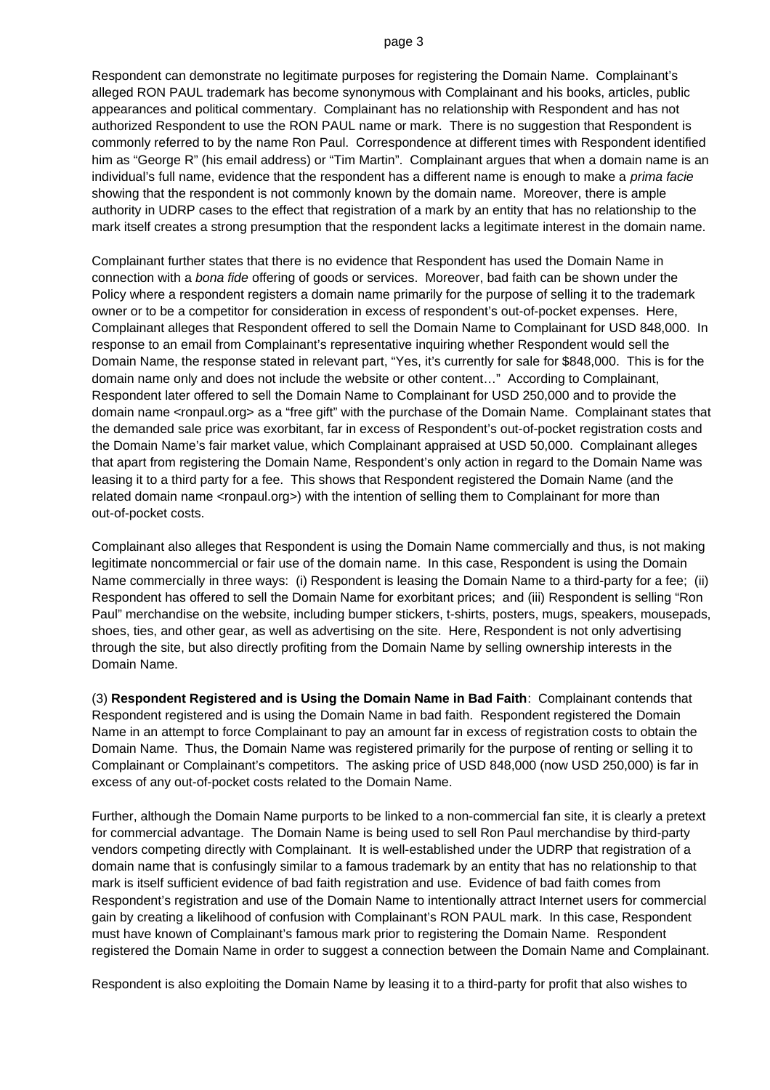Respondent can demonstrate no legitimate purposes for registering the Domain Name. Complainant's alleged RON PAUL trademark has become synonymous with Complainant and his books, articles, public appearances and political commentary. Complainant has no relationship with Respondent and has not authorized Respondent to use the RON PAUL name or mark. There is no suggestion that Respondent is commonly referred to by the name Ron Paul. Correspondence at different times with Respondent identified him as "George R" (his email address) or "Tim Martin". Complainant argues that when a domain name is an individual's full name, evidence that the respondent has a different name is enough to make a *prima facie*  showing that the respondent is not commonly known by the domain name. Moreover, there is ample authority in UDRP cases to the effect that registration of a mark by an entity that has no relationship to the mark itself creates a strong presumption that the respondent lacks a legitimate interest in the domain name.

Complainant further states that there is no evidence that Respondent has used the Domain Name in connection with a *bona fide* offering of goods or services. Moreover, bad faith can be shown under the Policy where a respondent registers a domain name primarily for the purpose of selling it to the trademark owner or to be a competitor for consideration in excess of respondent's out-of-pocket expenses. Here, Complainant alleges that Respondent offered to sell the Domain Name to Complainant for USD 848,000. In response to an email from Complainant's representative inquiring whether Respondent would sell the Domain Name, the response stated in relevant part, "Yes, it's currently for sale for \$848,000. This is for the domain name only and does not include the website or other content…" According to Complainant, Respondent later offered to sell the Domain Name to Complainant for USD 250,000 and to provide the domain name <ronpaul.org> as a "free gift" with the purchase of the Domain Name. Complainant states that the demanded sale price was exorbitant, far in excess of Respondent's out-of-pocket registration costs and the Domain Name's fair market value, which Complainant appraised at USD 50,000. Complainant alleges that apart from registering the Domain Name, Respondent's only action in regard to the Domain Name was leasing it to a third party for a fee. This shows that Respondent registered the Domain Name (and the related domain name <ronpaul.org>) with the intention of selling them to Complainant for more than out-of-pocket costs.

Complainant also alleges that Respondent is using the Domain Name commercially and thus, is not making legitimate noncommercial or fair use of the domain name. In this case, Respondent is using the Domain Name commercially in three ways: (i) Respondent is leasing the Domain Name to a third-party for a fee; (ii) Respondent has offered to sell the Domain Name for exorbitant prices; and (iii) Respondent is selling "Ron Paul" merchandise on the website, including bumper stickers, t-shirts, posters, mugs, speakers, mousepads, shoes, ties, and other gear, as well as advertising on the site. Here, Respondent is not only advertising through the site, but also directly profiting from the Domain Name by selling ownership interests in the Domain Name.

(3) **Respondent Registered and is Using the Domain Name in Bad Faith**: Complainant contends that Respondent registered and is using the Domain Name in bad faith. Respondent registered the Domain Name in an attempt to force Complainant to pay an amount far in excess of registration costs to obtain the Domain Name. Thus, the Domain Name was registered primarily for the purpose of renting or selling it to Complainant or Complainant's competitors. The asking price of USD 848,000 (now USD 250,000) is far in excess of any out-of-pocket costs related to the Domain Name.

Further, although the Domain Name purports to be linked to a non-commercial fan site, it is clearly a pretext for commercial advantage. The Domain Name is being used to sell Ron Paul merchandise by third-party vendors competing directly with Complainant. It is well-established under the UDRP that registration of a domain name that is confusingly similar to a famous trademark by an entity that has no relationship to that mark is itself sufficient evidence of bad faith registration and use. Evidence of bad faith comes from Respondent's registration and use of the Domain Name to intentionally attract Internet users for commercial gain by creating a likelihood of confusion with Complainant's RON PAUL mark. In this case, Respondent must have known of Complainant's famous mark prior to registering the Domain Name. Respondent registered the Domain Name in order to suggest a connection between the Domain Name and Complainant.

Respondent is also exploiting the Domain Name by leasing it to a third-party for profit that also wishes to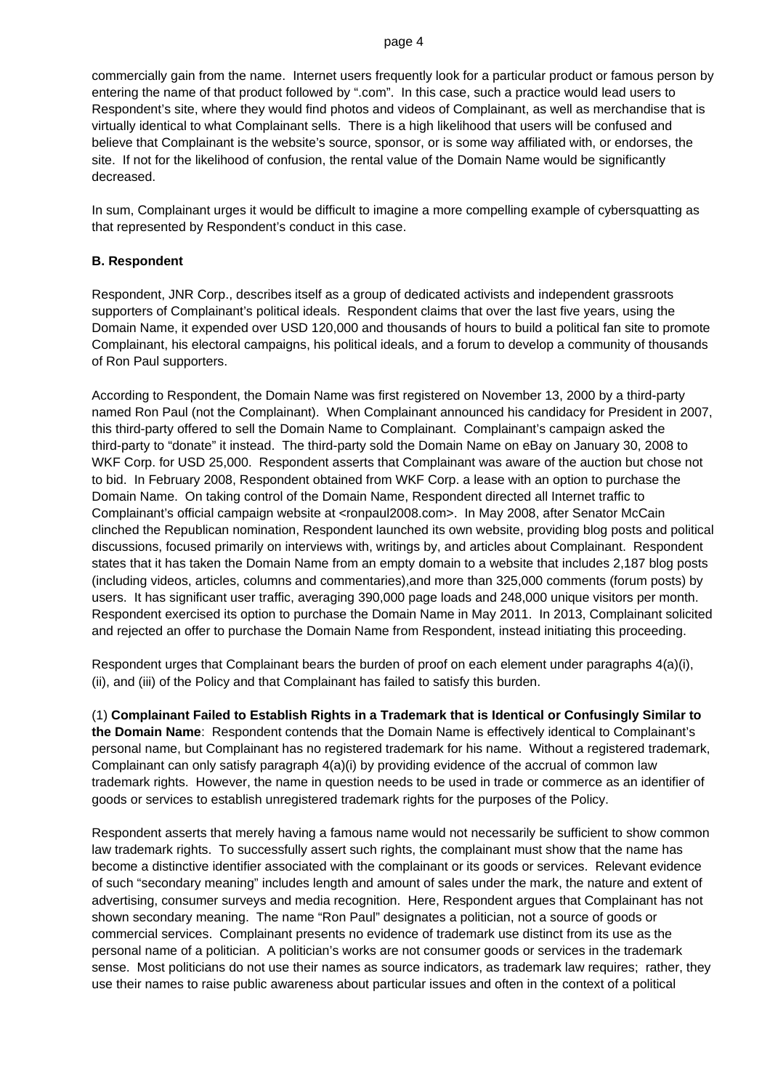#### page 4

commercially gain from the name. Internet users frequently look for a particular product or famous person by entering the name of that product followed by ".com". In this case, such a practice would lead users to Respondent's site, where they would find photos and videos of Complainant, as well as merchandise that is virtually identical to what Complainant sells. There is a high likelihood that users will be confused and believe that Complainant is the website's source, sponsor, or is some way affiliated with, or endorses, the site. If not for the likelihood of confusion, the rental value of the Domain Name would be significantly decreased.

In sum, Complainant urges it would be difficult to imagine a more compelling example of cybersquatting as that represented by Respondent's conduct in this case.

# **B. Respondent**

Respondent, JNR Corp., describes itself as a group of dedicated activists and independent grassroots supporters of Complainant's political ideals. Respondent claims that over the last five years, using the Domain Name, it expended over USD 120,000 and thousands of hours to build a political fan site to promote Complainant, his electoral campaigns, his political ideals, and a forum to develop a community of thousands of Ron Paul supporters.

According to Respondent, the Domain Name was first registered on November 13, 2000 by a third-party named Ron Paul (not the Complainant). When Complainant announced his candidacy for President in 2007, this third-party offered to sell the Domain Name to Complainant. Complainant's campaign asked the third-party to "donate" it instead. The third-party sold the Domain Name on eBay on January 30, 2008 to WKF Corp. for USD 25,000. Respondent asserts that Complainant was aware of the auction but chose not to bid. In February 2008, Respondent obtained from WKF Corp. a lease with an option to purchase the Domain Name. On taking control of the Domain Name, Respondent directed all Internet traffic to Complainant's official campaign website at <ronpaul2008.com>. In May 2008, after Senator McCain clinched the Republican nomination, Respondent launched its own website, providing blog posts and political discussions, focused primarily on interviews with, writings by, and articles about Complainant. Respondent states that it has taken the Domain Name from an empty domain to a website that includes 2,187 blog posts (including videos, articles, columns and commentaries),and more than 325,000 comments (forum posts) by users. It has significant user traffic, averaging 390,000 page loads and 248,000 unique visitors per month. Respondent exercised its option to purchase the Domain Name in May 2011. In 2013, Complainant solicited and rejected an offer to purchase the Domain Name from Respondent, instead initiating this proceeding.

Respondent urges that Complainant bears the burden of proof on each element under paragraphs 4(a)(i), (ii), and (iii) of the Policy and that Complainant has failed to satisfy this burden.

(1) **Complainant Failed to Establish Rights in a Trademark that is Identical or Confusingly Similar to the Domain Name**: Respondent contends that the Domain Name is effectively identical to Complainant's personal name, but Complainant has no registered trademark for his name. Without a registered trademark, Complainant can only satisfy paragraph 4(a)(i) by providing evidence of the accrual of common law trademark rights. However, the name in question needs to be used in trade or commerce as an identifier of goods or services to establish unregistered trademark rights for the purposes of the Policy.

Respondent asserts that merely having a famous name would not necessarily be sufficient to show common law trademark rights. To successfully assert such rights, the complainant must show that the name has become a distinctive identifier associated with the complainant or its goods or services. Relevant evidence of such "secondary meaning" includes length and amount of sales under the mark, the nature and extent of advertising, consumer surveys and media recognition. Here, Respondent argues that Complainant has not shown secondary meaning. The name "Ron Paul" designates a politician, not a source of goods or commercial services. Complainant presents no evidence of trademark use distinct from its use as the personal name of a politician. A politician's works are not consumer goods or services in the trademark sense. Most politicians do not use their names as source indicators, as trademark law requires; rather, they use their names to raise public awareness about particular issues and often in the context of a political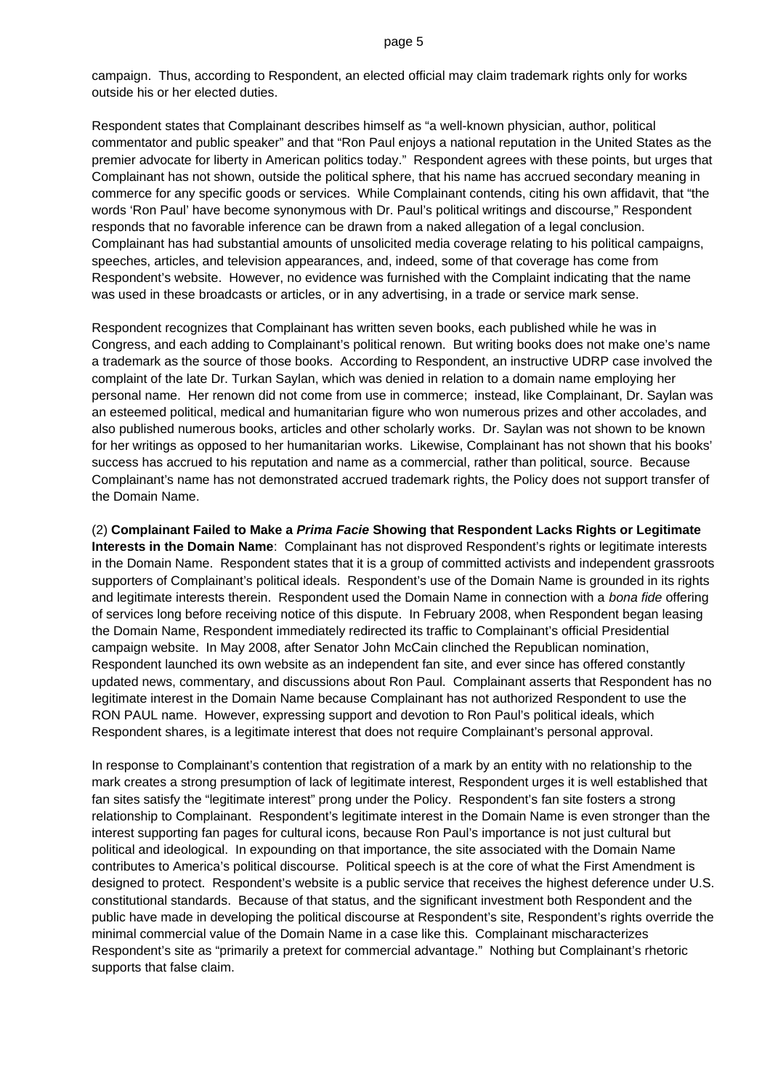campaign. Thus, according to Respondent, an elected official may claim trademark rights only for works outside his or her elected duties.

Respondent states that Complainant describes himself as "a well-known physician, author, political commentator and public speaker" and that "Ron Paul enjoys a national reputation in the United States as the premier advocate for liberty in American politics today." Respondent agrees with these points, but urges that Complainant has not shown, outside the political sphere, that his name has accrued secondary meaning in commerce for any specific goods or services. While Complainant contends, citing his own affidavit, that "the words 'Ron Paul' have become synonymous with Dr. Paul's political writings and discourse," Respondent responds that no favorable inference can be drawn from a naked allegation of a legal conclusion. Complainant has had substantial amounts of unsolicited media coverage relating to his political campaigns, speeches, articles, and television appearances, and, indeed, some of that coverage has come from Respondent's website. However, no evidence was furnished with the Complaint indicating that the name was used in these broadcasts or articles, or in any advertising, in a trade or service mark sense.

Respondent recognizes that Complainant has written seven books, each published while he was in Congress, and each adding to Complainant's political renown. But writing books does not make one's name a trademark as the source of those books. According to Respondent, an instructive UDRP case involved the complaint of the late Dr. Turkan Saylan, which was denied in relation to a domain name employing her personal name. Her renown did not come from use in commerce; instead, like Complainant, Dr. Saylan was an esteemed political, medical and humanitarian figure who won numerous prizes and other accolades, and also published numerous books, articles and other scholarly works. Dr. Saylan was not shown to be known for her writings as opposed to her humanitarian works. Likewise, Complainant has not shown that his books' success has accrued to his reputation and name as a commercial, rather than political, source. Because Complainant's name has not demonstrated accrued trademark rights, the Policy does not support transfer of the Domain Name.

(2) **Complainant Failed to Make a** *Prima Facie* **Showing that Respondent Lacks Rights or Legitimate Interests in the Domain Name**: Complainant has not disproved Respondent's rights or legitimate interests in the Domain Name. Respondent states that it is a group of committed activists and independent grassroots supporters of Complainant's political ideals. Respondent's use of the Domain Name is grounded in its rights and legitimate interests therein. Respondent used the Domain Name in connection with a *bona fide* offering of services long before receiving notice of this dispute. In February 2008, when Respondent began leasing the Domain Name, Respondent immediately redirected its traffic to Complainant's official Presidential campaign website. In May 2008, after Senator John McCain clinched the Republican nomination, Respondent launched its own website as an independent fan site, and ever since has offered constantly updated news, commentary, and discussions about Ron Paul. Complainant asserts that Respondent has no legitimate interest in the Domain Name because Complainant has not authorized Respondent to use the RON PAUL name. However, expressing support and devotion to Ron Paul's political ideals, which Respondent shares, is a legitimate interest that does not require Complainant's personal approval.

In response to Complainant's contention that registration of a mark by an entity with no relationship to the mark creates a strong presumption of lack of legitimate interest, Respondent urges it is well established that fan sites satisfy the "legitimate interest" prong under the Policy. Respondent's fan site fosters a strong relationship to Complainant. Respondent's legitimate interest in the Domain Name is even stronger than the interest supporting fan pages for cultural icons, because Ron Paul's importance is not just cultural but political and ideological. In expounding on that importance, the site associated with the Domain Name contributes to America's political discourse. Political speech is at the core of what the First Amendment is designed to protect. Respondent's website is a public service that receives the highest deference under U.S. constitutional standards. Because of that status, and the significant investment both Respondent and the public have made in developing the political discourse at Respondent's site, Respondent's rights override the minimal commercial value of the Domain Name in a case like this. Complainant mischaracterizes Respondent's site as "primarily a pretext for commercial advantage." Nothing but Complainant's rhetoric supports that false claim.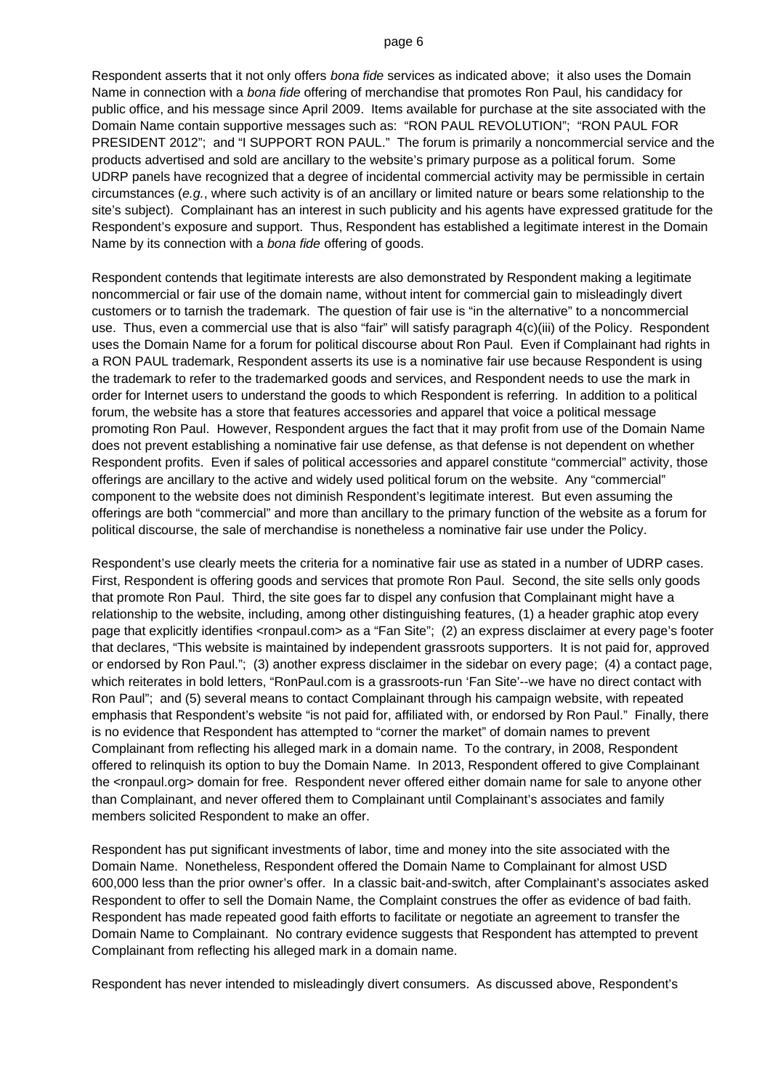Respondent asserts that it not only offers *bona fide* services as indicated above; it also uses the Domain Name in connection with a *bona fide* offering of merchandise that promotes Ron Paul, his candidacy for public office, and his message since April 2009. Items available for purchase at the site associated with the Domain Name contain supportive messages such as: "RON PAUL REVOLUTION"; "RON PAUL FOR PRESIDENT 2012"; and "I SUPPORT RON PAUL." The forum is primarily a noncommercial service and the products advertised and sold are ancillary to the website's primary purpose as a political forum. Some UDRP panels have recognized that a degree of incidental commercial activity may be permissible in certain circumstances (*e.g.*, where such activity is of an ancillary or limited nature or bears some relationship to the site's subject). Complainant has an interest in such publicity and his agents have expressed gratitude for the Respondent's exposure and support. Thus, Respondent has established a legitimate interest in the Domain Name by its connection with a *bona fide* offering of goods.

Respondent contends that legitimate interests are also demonstrated by Respondent making a legitimate noncommercial or fair use of the domain name, without intent for commercial gain to misleadingly divert customers or to tarnish the trademark. The question of fair use is "in the alternative" to a noncommercial use. Thus, even a commercial use that is also "fair" will satisfy paragraph 4(c)(iii) of the Policy. Respondent uses the Domain Name for a forum for political discourse about Ron Paul. Even if Complainant had rights in a RON PAUL trademark, Respondent asserts its use is a nominative fair use because Respondent is using the trademark to refer to the trademarked goods and services, and Respondent needs to use the mark in order for Internet users to understand the goods to which Respondent is referring. In addition to a political forum, the website has a store that features accessories and apparel that voice a political message promoting Ron Paul. However, Respondent argues the fact that it may profit from use of the Domain Name does not prevent establishing a nominative fair use defense, as that defense is not dependent on whether Respondent profits. Even if sales of political accessories and apparel constitute "commercial" activity, those offerings are ancillary to the active and widely used political forum on the website. Any "commercial" component to the website does not diminish Respondent's legitimate interest. But even assuming the offerings are both "commercial" and more than ancillary to the primary function of the website as a forum for political discourse, the sale of merchandise is nonetheless a nominative fair use under the Policy.

Respondent's use clearly meets the criteria for a nominative fair use as stated in a number of UDRP cases. First, Respondent is offering goods and services that promote Ron Paul. Second, the site sells only goods that promote Ron Paul. Third, the site goes far to dispel any confusion that Complainant might have a relationship to the website, including, among other distinguishing features, (1) a header graphic atop every page that explicitly identifies <ronpaul.com> as a "Fan Site"; (2) an express disclaimer at every page's footer that declares, "This website is maintained by independent grassroots supporters. It is not paid for, approved or endorsed by Ron Paul."; (3) another express disclaimer in the sidebar on every page; (4) a contact page, which reiterates in bold letters, "RonPaul.com is a grassroots-run 'Fan Site'--we have no direct contact with Ron Paul"; and (5) several means to contact Complainant through his campaign website, with repeated emphasis that Respondent's website "is not paid for, affiliated with, or endorsed by Ron Paul." Finally, there is no evidence that Respondent has attempted to "corner the market" of domain names to prevent Complainant from reflecting his alleged mark in a domain name. To the contrary, in 2008, Respondent offered to relinquish its option to buy the Domain Name. In 2013, Respondent offered to give Complainant the <ronpaul.org> domain for free. Respondent never offered either domain name for sale to anyone other than Complainant, and never offered them to Complainant until Complainant's associates and family members solicited Respondent to make an offer.

Respondent has put significant investments of labor, time and money into the site associated with the Domain Name. Nonetheless, Respondent offered the Domain Name to Complainant for almost USD 600,000 less than the prior owner's offer. In a classic bait-and-switch, after Complainant's associates asked Respondent to offer to sell the Domain Name, the Complaint construes the offer as evidence of bad faith. Respondent has made repeated good faith efforts to facilitate or negotiate an agreement to transfer the Domain Name to Complainant. No contrary evidence suggests that Respondent has attempted to prevent Complainant from reflecting his alleged mark in a domain name.

Respondent has never intended to misleadingly divert consumers. As discussed above, Respondent's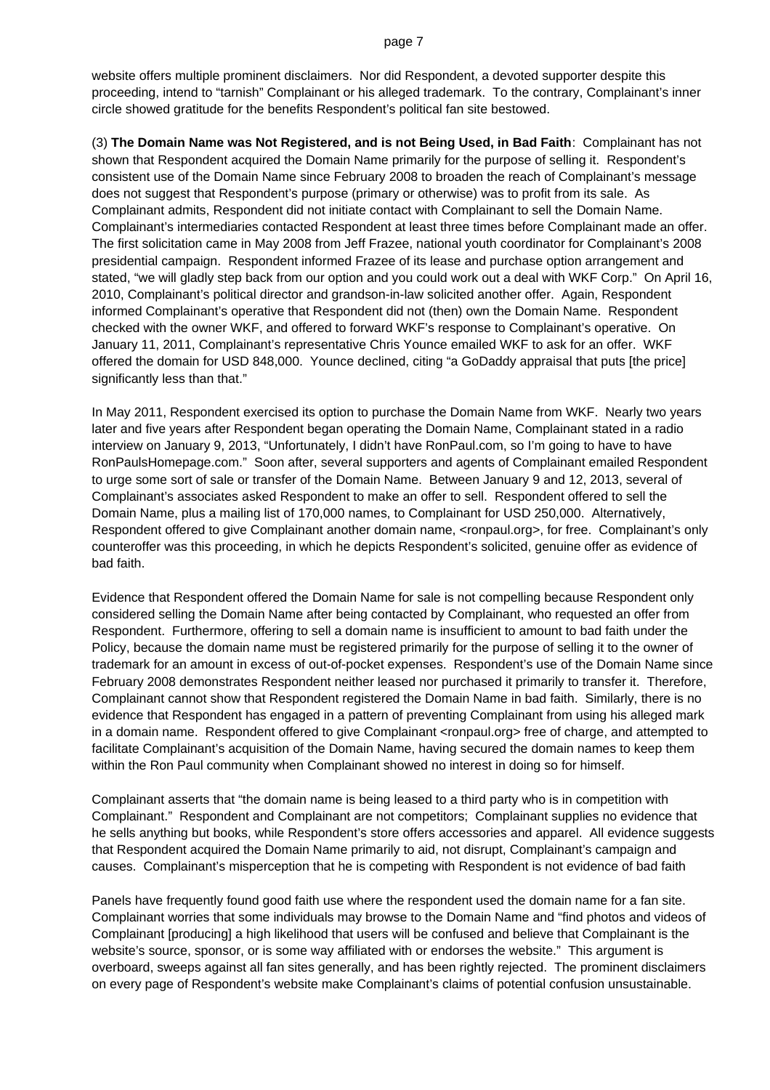website offers multiple prominent disclaimers. Nor did Respondent, a devoted supporter despite this proceeding, intend to "tarnish" Complainant or his alleged trademark. To the contrary, Complainant's inner circle showed gratitude for the benefits Respondent's political fan site bestowed.

(3) **The Domain Name was Not Registered, and is not Being Used, in Bad Faith**: Complainant has not shown that Respondent acquired the Domain Name primarily for the purpose of selling it. Respondent's consistent use of the Domain Name since February 2008 to broaden the reach of Complainant's message does not suggest that Respondent's purpose (primary or otherwise) was to profit from its sale. As Complainant admits, Respondent did not initiate contact with Complainant to sell the Domain Name. Complainant's intermediaries contacted Respondent at least three times before Complainant made an offer. The first solicitation came in May 2008 from Jeff Frazee, national youth coordinator for Complainant's 2008 presidential campaign. Respondent informed Frazee of its lease and purchase option arrangement and stated, "we will gladly step back from our option and you could work out a deal with WKF Corp." On April 16, 2010, Complainant's political director and grandson-in-law solicited another offer. Again, Respondent informed Complainant's operative that Respondent did not (then) own the Domain Name. Respondent checked with the owner WKF, and offered to forward WKF's response to Complainant's operative. On January 11, 2011, Complainant's representative Chris Younce emailed WKF to ask for an offer. WKF offered the domain for USD 848,000. Younce declined, citing "a GoDaddy appraisal that puts [the price] significantly less than that."

In May 2011, Respondent exercised its option to purchase the Domain Name from WKF. Nearly two years later and five years after Respondent began operating the Domain Name, Complainant stated in a radio interview on January 9, 2013, "Unfortunately, I didn't have RonPaul.com, so I'm going to have to have RonPaulsHomepage.com." Soon after, several supporters and agents of Complainant emailed Respondent to urge some sort of sale or transfer of the Domain Name. Between January 9 and 12, 2013, several of Complainant's associates asked Respondent to make an offer to sell. Respondent offered to sell the Domain Name, plus a mailing list of 170,000 names, to Complainant for USD 250,000. Alternatively, Respondent offered to give Complainant another domain name, <ronpaul.org>, for free. Complainant's only counteroffer was this proceeding, in which he depicts Respondent's solicited, genuine offer as evidence of bad faith.

Evidence that Respondent offered the Domain Name for sale is not compelling because Respondent only considered selling the Domain Name after being contacted by Complainant, who requested an offer from Respondent. Furthermore, offering to sell a domain name is insufficient to amount to bad faith under the Policy, because the domain name must be registered primarily for the purpose of selling it to the owner of trademark for an amount in excess of out-of-pocket expenses. Respondent's use of the Domain Name since February 2008 demonstrates Respondent neither leased nor purchased it primarily to transfer it. Therefore, Complainant cannot show that Respondent registered the Domain Name in bad faith. Similarly, there is no evidence that Respondent has engaged in a pattern of preventing Complainant from using his alleged mark in a domain name. Respondent offered to give Complainant <ronpaul.org> free of charge, and attempted to facilitate Complainant's acquisition of the Domain Name, having secured the domain names to keep them within the Ron Paul community when Complainant showed no interest in doing so for himself.

Complainant asserts that "the domain name is being leased to a third party who is in competition with Complainant." Respondent and Complainant are not competitors; Complainant supplies no evidence that he sells anything but books, while Respondent's store offers accessories and apparel. All evidence suggests that Respondent acquired the Domain Name primarily to aid, not disrupt, Complainant's campaign and causes. Complainant's misperception that he is competing with Respondent is not evidence of bad faith

Panels have frequently found good faith use where the respondent used the domain name for a fan site. Complainant worries that some individuals may browse to the Domain Name and "find photos and videos of Complainant [producing] a high likelihood that users will be confused and believe that Complainant is the website's source, sponsor, or is some way affiliated with or endorses the website." This argument is overboard, sweeps against all fan sites generally, and has been rightly rejected. The prominent disclaimers on every page of Respondent's website make Complainant's claims of potential confusion unsustainable.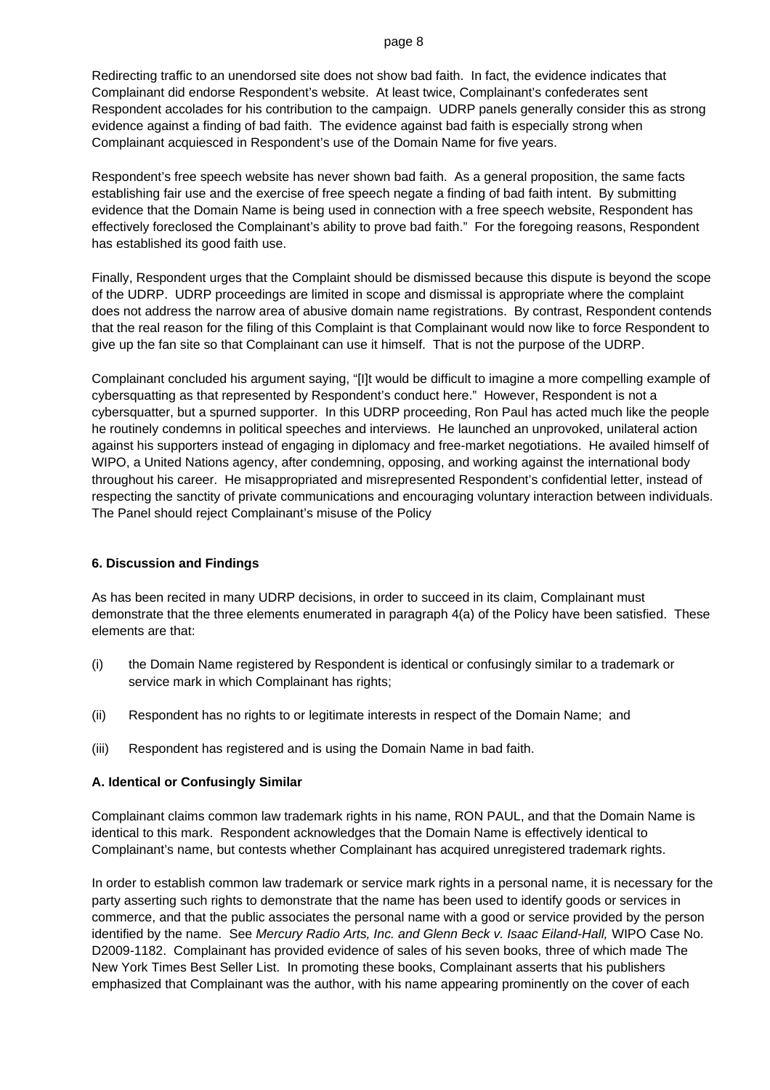Redirecting traffic to an unendorsed site does not show bad faith. In fact, the evidence indicates that Complainant did endorse Respondent's website. At least twice, Complainant's confederates sent Respondent accolades for his contribution to the campaign. UDRP panels generally consider this as strong evidence against a finding of bad faith. The evidence against bad faith is especially strong when Complainant acquiesced in Respondent's use of the Domain Name for five years.

Respondent's free speech website has never shown bad faith. As a general proposition, the same facts establishing fair use and the exercise of free speech negate a finding of bad faith intent. By submitting evidence that the Domain Name is being used in connection with a free speech website, Respondent has effectively foreclosed the Complainant's ability to prove bad faith." For the foregoing reasons, Respondent has established its good faith use.

Finally, Respondent urges that the Complaint should be dismissed because this dispute is beyond the scope of the UDRP. UDRP proceedings are limited in scope and dismissal is appropriate where the complaint does not address the narrow area of abusive domain name registrations. By contrast, Respondent contends that the real reason for the filing of this Complaint is that Complainant would now like to force Respondent to give up the fan site so that Complainant can use it himself. That is not the purpose of the UDRP.

Complainant concluded his argument saying, "[I]t would be difficult to imagine a more compelling example of cybersquatting as that represented by Respondent's conduct here." However, Respondent is not a cybersquatter, but a spurned supporter. In this UDRP proceeding, Ron Paul has acted much like the people he routinely condemns in political speeches and interviews. He launched an unprovoked, unilateral action against his supporters instead of engaging in diplomacy and free-market negotiations. He availed himself of WIPO, a United Nations agency, after condemning, opposing, and working against the international body throughout his career. He misappropriated and misrepresented Respondent's confidential letter, instead of respecting the sanctity of private communications and encouraging voluntary interaction between individuals. The Panel should reject Complainant's misuse of the Policy

### **6. Discussion and Findings**

As has been recited in many UDRP decisions, in order to succeed in its claim, Complainant must demonstrate that the three elements enumerated in paragraph 4(a) of the Policy have been satisfied. These elements are that:

- (i) the Domain Name registered by Respondent is identical or confusingly similar to a trademark or service mark in which Complainant has rights;
- (ii) Respondent has no rights to or legitimate interests in respect of the Domain Name; and
- (iii) Respondent has registered and is using the Domain Name in bad faith.

### **A. Identical or Confusingly Similar**

Complainant claims common law trademark rights in his name, RON PAUL, and that the Domain Name is identical to this mark. Respondent acknowledges that the Domain Name is effectively identical to Complainant's name, but contests whether Complainant has acquired unregistered trademark rights.

In order to establish common law trademark or service mark rights in a personal name, it is necessary for the party asserting such rights to demonstrate that the name has been used to identify goods or services in commerce, and that the public associates the personal name with a good or service provided by the person identified by the name. See *Mercury Radio Arts, Inc. and Glenn Beck v. Isaac Eiland-Hall,* WIPO Case No. D2009-1182. Complainant has provided evidence of sales of his seven books, three of which made The New York Times Best Seller List. In promoting these books, Complainant asserts that his publishers emphasized that Complainant was the author, with his name appearing prominently on the cover of each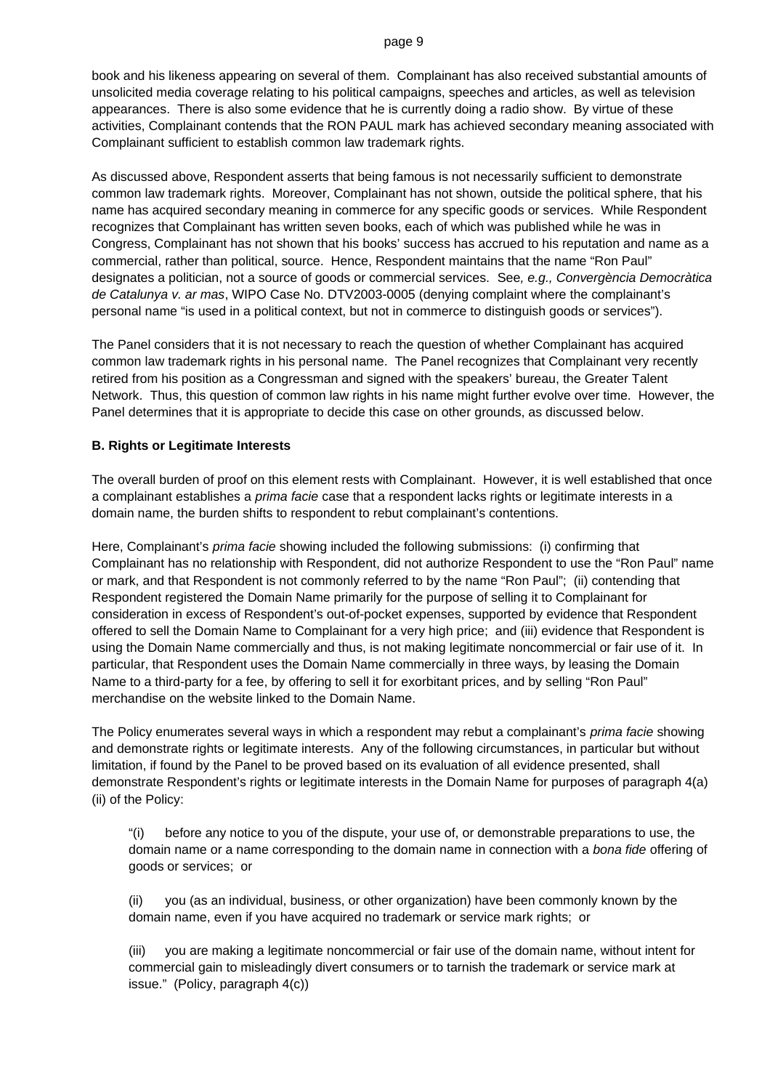book and his likeness appearing on several of them. Complainant has also received substantial amounts of unsolicited media coverage relating to his political campaigns, speeches and articles, as well as television appearances. There is also some evidence that he is currently doing a radio show. By virtue of these activities, Complainant contends that the RON PAUL mark has achieved secondary meaning associated with Complainant sufficient to establish common law trademark rights.

As discussed above, Respondent asserts that being famous is not necessarily sufficient to demonstrate common law trademark rights. Moreover, Complainant has not shown, outside the political sphere, that his name has acquired secondary meaning in commerce for any specific goods or services. While Respondent recognizes that Complainant has written seven books, each of which was published while he was in Congress, Complainant has not shown that his books' success has accrued to his reputation and name as a commercial, rather than political, source. Hence, Respondent maintains that the name "Ron Paul" designates a politician, not a source of goods or commercial services. See*, e.g., Convergència Democràtica de Catalunya v. ar mas*, WIPO Case No. DTV2003-0005 (denying complaint where the complainant's personal name "is used in a political context, but not in commerce to distinguish goods or services").

The Panel considers that it is not necessary to reach the question of whether Complainant has acquired common law trademark rights in his personal name. The Panel recognizes that Complainant very recently retired from his position as a Congressman and signed with the speakers' bureau, the Greater Talent Network. Thus, this question of common law rights in his name might further evolve over time. However, the Panel determines that it is appropriate to decide this case on other grounds, as discussed below.

### **B. Rights or Legitimate Interests**

The overall burden of proof on this element rests with Complainant. However, it is well established that once a complainant establishes a *prima facie* case that a respondent lacks rights or legitimate interests in a domain name, the burden shifts to respondent to rebut complainant's contentions.

Here, Complainant's *prima facie* showing included the following submissions: (i) confirming that Complainant has no relationship with Respondent, did not authorize Respondent to use the "Ron Paul" name or mark, and that Respondent is not commonly referred to by the name "Ron Paul"; (ii) contending that Respondent registered the Domain Name primarily for the purpose of selling it to Complainant for consideration in excess of Respondent's out-of-pocket expenses, supported by evidence that Respondent offered to sell the Domain Name to Complainant for a very high price; and (iii) evidence that Respondent is using the Domain Name commercially and thus, is not making legitimate noncommercial or fair use of it. In particular, that Respondent uses the Domain Name commercially in three ways, by leasing the Domain Name to a third-party for a fee, by offering to sell it for exorbitant prices, and by selling "Ron Paul" merchandise on the website linked to the Domain Name.

The Policy enumerates several ways in which a respondent may rebut a complainant's *prima facie* showing and demonstrate rights or legitimate interests. Any of the following circumstances, in particular but without limitation, if found by the Panel to be proved based on its evaluation of all evidence presented, shall demonstrate Respondent's rights or legitimate interests in the Domain Name for purposes of paragraph 4(a) (ii) of the Policy:

"(i) before any notice to you of the dispute, your use of, or demonstrable preparations to use, the domain name or a name corresponding to the domain name in connection with a *bona fide* offering of goods or services; or

(ii) you (as an individual, business, or other organization) have been commonly known by the domain name, even if you have acquired no trademark or service mark rights; or

(iii) you are making a legitimate noncommercial or fair use of the domain name, without intent for commercial gain to misleadingly divert consumers or to tarnish the trademark or service mark at issue." (Policy, paragraph 4(c))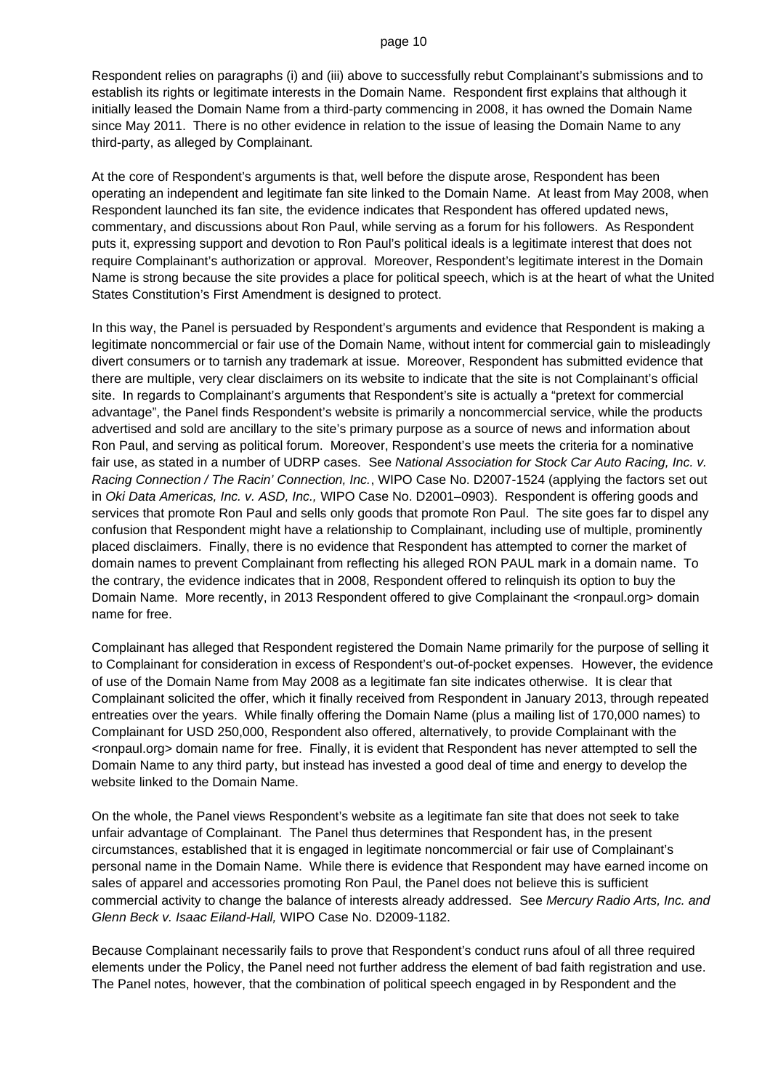Respondent relies on paragraphs (i) and (iii) above to successfully rebut Complainant's submissions and to establish its rights or legitimate interests in the Domain Name. Respondent first explains that although it initially leased the Domain Name from a third-party commencing in 2008, it has owned the Domain Name since May 2011. There is no other evidence in relation to the issue of leasing the Domain Name to any third-party, as alleged by Complainant.

At the core of Respondent's arguments is that, well before the dispute arose, Respondent has been operating an independent and legitimate fan site linked to the Domain Name. At least from May 2008, when Respondent launched its fan site, the evidence indicates that Respondent has offered updated news, commentary, and discussions about Ron Paul, while serving as a forum for his followers. As Respondent puts it, expressing support and devotion to Ron Paul's political ideals is a legitimate interest that does not require Complainant's authorization or approval. Moreover, Respondent's legitimate interest in the Domain Name is strong because the site provides a place for political speech, which is at the heart of what the United States Constitution's First Amendment is designed to protect.

In this way, the Panel is persuaded by Respondent's arguments and evidence that Respondent is making a legitimate noncommercial or fair use of the Domain Name, without intent for commercial gain to misleadingly divert consumers or to tarnish any trademark at issue. Moreover, Respondent has submitted evidence that there are multiple, very clear disclaimers on its website to indicate that the site is not Complainant's official site. In regards to Complainant's arguments that Respondent's site is actually a "pretext for commercial advantage", the Panel finds Respondent's website is primarily a noncommercial service, while the products advertised and sold are ancillary to the site's primary purpose as a source of news and information about Ron Paul, and serving as political forum. Moreover, Respondent's use meets the criteria for a nominative fair use, as stated in a number of UDRP cases. See *National Association for Stock Car Auto Racing, Inc. v. Racing Connection / The Racin' Connection, Inc.*, WIPO Case No. D2007-1524 (applying the factors set out in *Oki Data Americas, Inc. v. ASD, Inc.,* WIPO Case No. D2001–0903). Respondent is offering goods and services that promote Ron Paul and sells only goods that promote Ron Paul. The site goes far to dispel any confusion that Respondent might have a relationship to Complainant, including use of multiple, prominently placed disclaimers. Finally, there is no evidence that Respondent has attempted to corner the market of domain names to prevent Complainant from reflecting his alleged RON PAUL mark in a domain name. To the contrary, the evidence indicates that in 2008, Respondent offered to relinquish its option to buy the Domain Name. More recently, in 2013 Respondent offered to give Complainant the <ronpaul.org> domain name for free.

Complainant has alleged that Respondent registered the Domain Name primarily for the purpose of selling it to Complainant for consideration in excess of Respondent's out-of-pocket expenses. However, the evidence of use of the Domain Name from May 2008 as a legitimate fan site indicates otherwise. It is clear that Complainant solicited the offer, which it finally received from Respondent in January 2013, through repeated entreaties over the years. While finally offering the Domain Name (plus a mailing list of 170,000 names) to Complainant for USD 250,000, Respondent also offered, alternatively, to provide Complainant with the <ronpaul.org> domain name for free. Finally, it is evident that Respondent has never attempted to sell the Domain Name to any third party, but instead has invested a good deal of time and energy to develop the website linked to the Domain Name.

On the whole, the Panel views Respondent's website as a legitimate fan site that does not seek to take unfair advantage of Complainant. The Panel thus determines that Respondent has, in the present circumstances, established that it is engaged in legitimate noncommercial or fair use of Complainant's personal name in the Domain Name. While there is evidence that Respondent may have earned income on sales of apparel and accessories promoting Ron Paul, the Panel does not believe this is sufficient commercial activity to change the balance of interests already addressed. See *Mercury Radio Arts, Inc. and Glenn Beck v. Isaac Eiland-Hall,* WIPO Case No. D2009-1182.

Because Complainant necessarily fails to prove that Respondent's conduct runs afoul of all three required elements under the Policy, the Panel need not further address the element of bad faith registration and use. The Panel notes, however, that the combination of political speech engaged in by Respondent and the